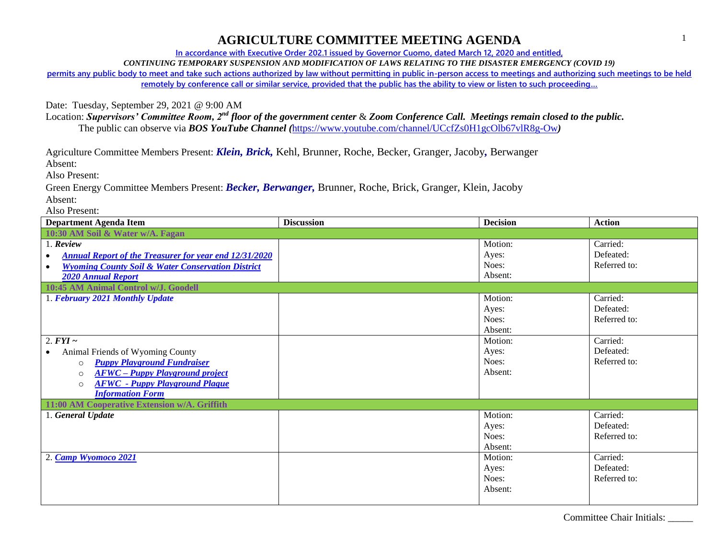## **AGRICULTURE COMMITTEE MEETING AGENDA**

**In accordance with Executive Order 202.1 issued by Governor Cuomo, dated March 12, 2020 and entitled,**

*CONTINUING TEMPORARY SUSPENSION AND MODIFICATION OF LAWS RELATING TO THE DISASTER EMERGENCY (COVID 19)*

**permits any public body to meet and take such actions authorized by law without permitting in public in-person access to meetings and authorizing such meetings to be held remotely by conference call or similar service, provided that the public has the ability to view or listen to such proceeding…**

Date: Tuesday, September 29, 2021 @ 9:00 AM

Location: *Supervisors' Committee Room, 2nd floor of the government center* & *Zoom Conference Call. Meetings remain closed to the public.* The public can observe via *BOS YouTube Channel (*<https://www.youtube.com/channel/UCcfZs0H1gcOlb67vlR8g-Ow>*)*

Agriculture Committee Members Present: *Klein, Brick,* Kehl, Brunner, Roche, Becker, Granger, Jacoby*,* Berwanger

Absent:

Also Present:

Green Energy Committee Members Present: *Becker, Berwanger,* Brunner, Roche, Brick, Granger, Klein, Jacoby Absent:

Also Present:

| <b>Department Agenda Item</b>                                              | <b>Discussion</b> | <b>Decision</b> | <b>Action</b> |  |  |  |
|----------------------------------------------------------------------------|-------------------|-----------------|---------------|--|--|--|
| 10:30 AM Soil & Water w/A. Fagan                                           |                   |                 |               |  |  |  |
| 1. Review                                                                  |                   | Motion:         | Carried:      |  |  |  |
| <b>Annual Report of the Treasurer for year end 12/31/2020</b><br>$\bullet$ |                   | Ayes:           | Defeated:     |  |  |  |
| <b>Wyoming County Soil &amp; Water Conservation District</b><br>$\bullet$  |                   | Noes:           | Referred to:  |  |  |  |
| <b>2020 Annual Report</b>                                                  |                   | Absent:         |               |  |  |  |
| 10:45 AM Animal Control w/J. Goodell                                       |                   |                 |               |  |  |  |
| 1. February 2021 Monthly Update                                            |                   | Motion:         | Carried:      |  |  |  |
|                                                                            |                   | Ayes:           | Defeated:     |  |  |  |
|                                                                            |                   | Noes:           | Referred to:  |  |  |  |
|                                                                            |                   | Absent:         |               |  |  |  |
| 2. $FYI \sim$                                                              |                   | Motion:         | Carried:      |  |  |  |
| Animal Friends of Wyoming County<br>$\bullet$                              |                   | Ayes:           | Defeated:     |  |  |  |
| <b>Puppy Playground Fundraiser</b><br>$\circ$                              |                   | Noes:           | Referred to:  |  |  |  |
| <b>AFWC</b> - Puppy Playground project<br>$\circ$                          |                   | Absent:         |               |  |  |  |
| <b>AFWC</b> - Puppy Playground Plaque<br>$\circ$                           |                   |                 |               |  |  |  |
| <b>Information Form</b>                                                    |                   |                 |               |  |  |  |
| 11:00 AM Cooperative Extension w/A. Griffith                               |                   |                 |               |  |  |  |
| 1. General Update                                                          |                   | Motion:         | Carried:      |  |  |  |
|                                                                            |                   | Ayes:           | Defeated:     |  |  |  |
|                                                                            |                   | Noes:           | Referred to:  |  |  |  |
|                                                                            |                   | Absent:         |               |  |  |  |
| 2. Camp Wyomoco 2021                                                       |                   | Motion:         | Carried:      |  |  |  |
|                                                                            |                   | Ayes:           | Defeated:     |  |  |  |
|                                                                            |                   | Noes:           | Referred to:  |  |  |  |
|                                                                            |                   | Absent:         |               |  |  |  |
|                                                                            |                   |                 |               |  |  |  |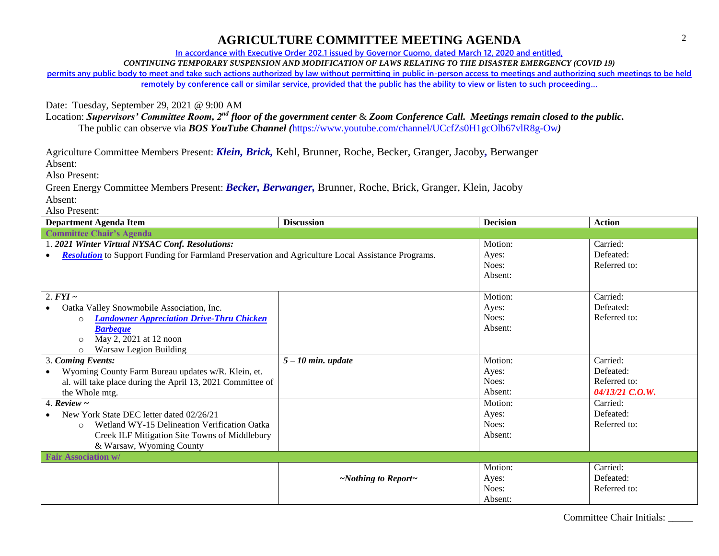## **AGRICULTURE COMMITTEE MEETING AGENDA**

**In accordance with Executive Order 202.1 issued by Governor Cuomo, dated March 12, 2020 and entitled,**

*CONTINUING TEMPORARY SUSPENSION AND MODIFICATION OF LAWS RELATING TO THE DISASTER EMERGENCY (COVID 19)*

**permits any public body to meet and take such actions authorized by law without permitting in public in-person access to meetings and authorizing such meetings to be held remotely by conference call or similar service, provided that the public has the ability to view or listen to such proceeding…**

Date: Tuesday, September 29, 2021 @ 9:00 AM

Location: *Supervisors' Committee Room, 2nd floor of the government center* & *Zoom Conference Call. Meetings remain closed to the public.* The public can observe via *BOS YouTube Channel (*<https://www.youtube.com/channel/UCcfZs0H1gcOlb67vlR8g-Ow>*)*

Agriculture Committee Members Present: *Klein, Brick,* Kehl, Brunner, Roche, Becker, Granger, Jacoby*,* Berwanger

Absent:

Also Present:

Green Energy Committee Members Present: *Becker, Berwanger,* Brunner, Roche, Brick, Granger, Klein, Jacoby Absent:

Also Present:

| <b>Department Agenda Item</b>                                                                                          | <b>Discussion</b>               | <b>Decision</b> | <b>Action</b>   |  |  |
|------------------------------------------------------------------------------------------------------------------------|---------------------------------|-----------------|-----------------|--|--|
| <b>Committee Chair's Agenda</b>                                                                                        |                                 |                 |                 |  |  |
| 1. 2021 Winter Virtual NYSAC Conf. Resolutions:                                                                        |                                 | Motion:         | Carried:        |  |  |
| <b>Resolution</b> to Support Funding for Farmland Preservation and Agriculture Local Assistance Programs.<br>$\bullet$ |                                 | Ayes:           | Defeated:       |  |  |
|                                                                                                                        |                                 | Noes:           | Referred to:    |  |  |
|                                                                                                                        |                                 | Absent:         |                 |  |  |
|                                                                                                                        |                                 |                 |                 |  |  |
| 2. $FYI \sim$                                                                                                          |                                 | Motion:         | Carried:        |  |  |
| Oatka Valley Snowmobile Association, Inc.<br>$\bullet$                                                                 |                                 | Ayes:           | Defeated:       |  |  |
| <b>Landowner Appreciation Drive-Thru Chicken</b>                                                                       |                                 | Noes:           | Referred to:    |  |  |
| <b>Barbeque</b>                                                                                                        |                                 | Absent:         |                 |  |  |
| May 2, 2021 at 12 noon<br>$\Omega$                                                                                     |                                 |                 |                 |  |  |
| <b>Warsaw Legion Building</b><br>$\circ$                                                                               |                                 |                 |                 |  |  |
| 3. Coming Events:                                                                                                      | $5 - 10$ min. update            | Motion:         | Carried:        |  |  |
| Wyoming County Farm Bureau updates w/R. Klein, et.                                                                     |                                 | Ayes:           | Defeated:       |  |  |
| al. will take place during the April 13, 2021 Committee of                                                             |                                 | Noes:           | Referred to:    |  |  |
| the Whole mtg.                                                                                                         |                                 | Absent:         | 04/13/21 C.O.W. |  |  |
| 4. Review $\sim$                                                                                                       |                                 | Motion:         | Carried:        |  |  |
| New York State DEC letter dated 02/26/21                                                                               |                                 | Ayes:           | Defeated:       |  |  |
| Wetland WY-15 Delineation Verification Oatka<br>$\circ$                                                                |                                 | Noes:           | Referred to:    |  |  |
| Creek ILF Mitigation Site Towns of Middlebury                                                                          |                                 | Absent:         |                 |  |  |
| & Warsaw, Wyoming County                                                                                               |                                 |                 |                 |  |  |
| <b>Fair Association w/</b>                                                                                             |                                 |                 |                 |  |  |
|                                                                                                                        |                                 | Motion:         | Carried:        |  |  |
|                                                                                                                        | $\sim$ Nothing to Report $\sim$ | Ayes:           | Defeated:       |  |  |
|                                                                                                                        |                                 | Noes:           | Referred to:    |  |  |
|                                                                                                                        |                                 | Absent:         |                 |  |  |

2

Committee Chair Initials: \_\_\_\_\_